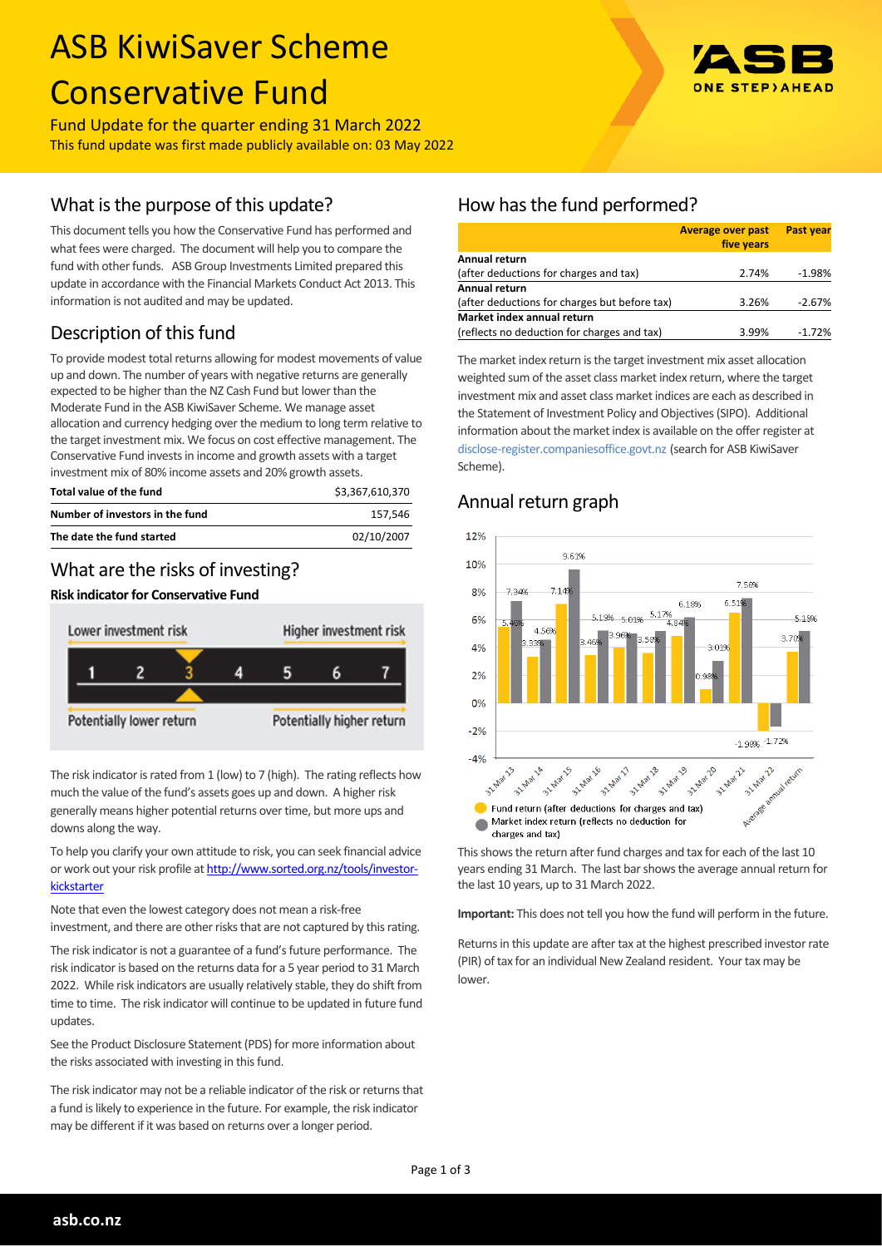# ASB KiwiSaver Scheme Conservative Fund

Fund Update for the quarter ending 31 March 2022 This fund update was first made publicly available on: 03 May 2022

# What is the purpose of this update?

This document tells you how the Conservative Fund has performed and what fees were charged. The document will help you to compare the fund with other funds. ASB Group Investments Limited prepared this update in accordance with the Financial Markets Conduct Act 2013. This information is not audited and may be updated.

# Description of this fund

To provide modest total returns allowing for modest movements of value up and down. The number of years with negative returns are generally expected to be higher than the NZ Cash Fund but lower than the Moderate Fund in the ASB KiwiSaver Scheme. We manage asset allocation and currency hedging over the medium to long term relative to the target investment mix. We focus on cost effective management. The Conservative Fund invests in income and growth assets with a target investment mix of 80% income assets and 20% growth assets.

| Total value of the fund         | \$3.367.610.370 |
|---------------------------------|-----------------|
| Number of investors in the fund | 157.546         |
| The date the fund started       | 02/10/2007      |

## What are the risks of investing?

#### **Risk indicator for Conservative Fund**



The risk indicator is rated from 1 (low) to 7 (high). The rating reflects how much the value of the fund's assets goes up and down. A higher risk generally means higher potential returns over time, but more ups and downs along the way.

To help you clarify your own attitude to risk, you can seek financial advice or work out your risk profile at [http://www.sorted.org.nz/tools/investor](http://www.sorted.org.nz/tools/investor-kickstarter)[kickstarter](http://www.sorted.org.nz/tools/investor-kickstarter)

Note that even the lowest category does not mean a risk-free investment, and there are other risks that are not captured by this rating.

The risk indicator is not a guarantee of a fund's future performance. The risk indicator is based on the returns data for a 5 year period to 31 March 2022. While risk indicators are usually relatively stable, they do shift from time to time. The risk indicator will continue to be updated in future fund updates.

See the Product Disclosure Statement (PDS) for more information about the risks associated with investing in this fund.

The risk indicator may not be a reliable indicator of the risk or returns that a fund is likely to experience in the future. For example, the risk indicator may be different if it was based on returns over a longer period.



|                                               | <b>Average over past</b><br>five years | <b>Past year</b> |
|-----------------------------------------------|----------------------------------------|------------------|
| Annual return                                 |                                        |                  |
| (after deductions for charges and tax)        | 2.74%                                  | $-1.98%$         |
| <b>Annual return</b>                          |                                        |                  |
| (after deductions for charges but before tax) | 3.26%                                  | $-2.67%$         |
| Market index annual return                    |                                        |                  |
| (reflects no deduction for charges and tax)   | 3.99%                                  | $-1.72%$         |

The market index return is the target investment mix asset allocation weighted sum of the asset class market index return, where the target investment mix and asset class market indices are each as described in the Statement of Investment Policy and Objectives (SIPO). Additional information about the market index is available on the offer register at [disclose-register.companiesoffice.govt.nz](http://www.business.govt.nz/disclose/) (search for ASB KiwiSaver Scheme).

## Annual return graph



This shows the return after fund charges and tax for each of the last 10 years ending 31 March. The last bar shows the average annual return for the last 10 years, up to 31 March 2022.

**Important:** This does not tell you how the fund will perform in the future.

Returns in this update are after tax at the highest prescribed investor rate (PIR) of tax for an individual New Zealand resident. Your tax may be lower.

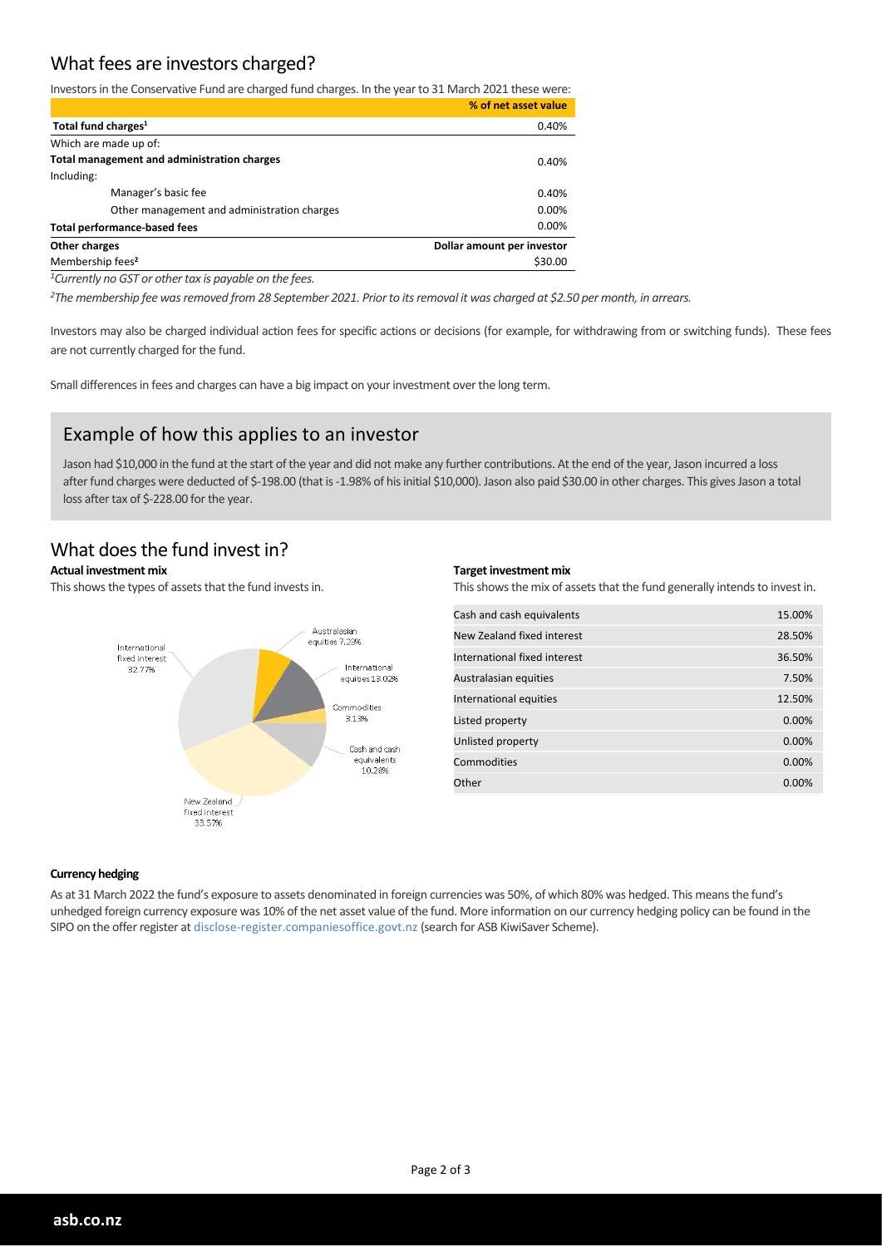## What fees are investors charged?

Investors in the Conservative Fund are charged fund charges. In the year to 31 March 2021 these were:

|                                             | % of net asset value       |
|---------------------------------------------|----------------------------|
| Total fund charges <sup>1</sup>             | 0.40%                      |
| Which are made up of:                       |                            |
| Total management and administration charges | 0.40%                      |
| Including:                                  |                            |
| Manager's basic fee                         | 0.40%                      |
| Other management and administration charges | 0.00%                      |
| <b>Total performance-based fees</b>         | 0.00%                      |
| Other charges                               | Dollar amount per investor |
| Membership fees <sup>2</sup>                | \$30.00                    |

*<sup>1</sup>Currently no GST or other tax is payable on the fees.*

*<sup>2</sup>The membership fee was removed from 28 September 2021. Prior to its removal it was charged at \$2.50 per month, in arrears.*

Investors may also be charged individual action fees for specific actions or decisions (for example, for withdrawing from or switching funds). These fees are not currently charged for the fund.

Small differences in fees and charges can have a big impact on your investment over the long term.

## Example of how this applies to an investor

Jason had \$10,000 in the fund at the start of the year and did not make any further contributions. At the end of the year, Jason incurred a loss after fund charges were deducted of \$-198.00 (that is -1.98% of his initial \$10,000). Jason also paid \$30.00 in other charges. This gives Jason a total loss after tax of \$-228.00 for the year.

## What does the fund invest in?

#### **Actual investment mix**

This shows the types of assets that the fund invests in.



#### **Target investment mix**

This shows the mix of assets that the fund generally intends to invest in.

| Cash and cash equivalents    | 15.00% |
|------------------------------|--------|
| New Zealand fixed interest   | 28.50% |
| International fixed interest | 36.50% |
| Australasian equities        | 7.50%  |
| International equities       | 12.50% |
| Listed property              | 0.00%  |
| Unlisted property            | 0.00%  |
| Commodities                  | 0.00%  |
| Other                        | 0.00%  |
|                              |        |

#### **Currency hedging**

As at 31 March 2022 the fund's exposure to assets denominated in foreign currencies was 50%, of which 80% was hedged. This means the fund's unhedged foreign currency exposure was 10% of the net asset value of the fund. More information on our currency hedging policy can be found in the SIPO on the offer register at disclose-register.companiesoffice.govt.nz (search for ASB KiwiSaver Scheme).